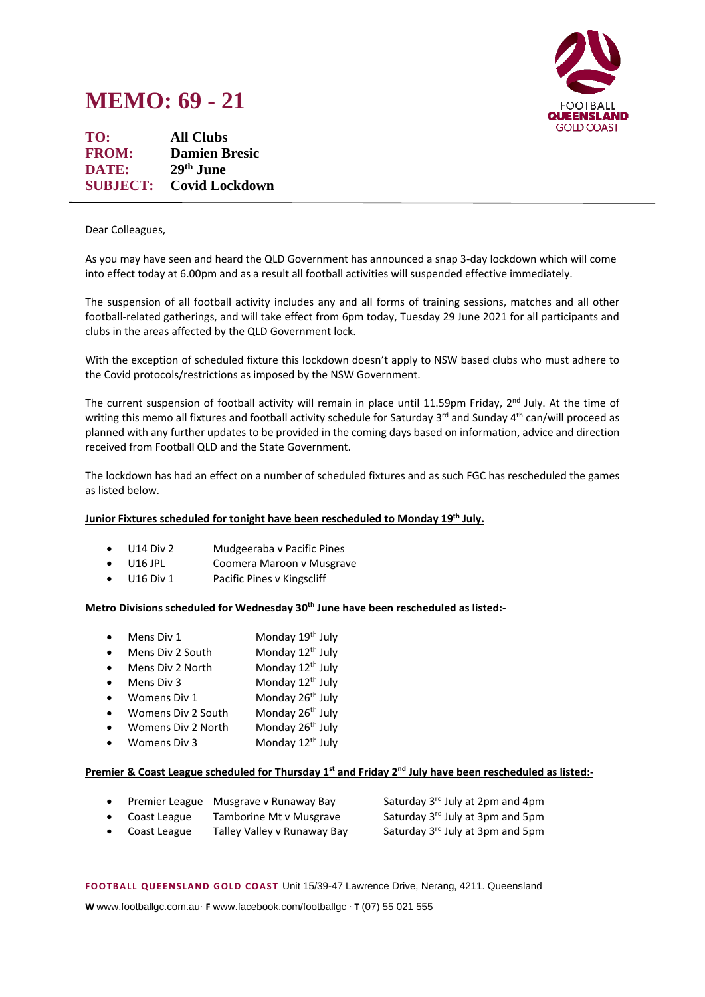# **MEMO: 69 - 21**



**TO: All Clubs FROM: Damien Bresic DATE: 29** 29<sup>th</sup> **June SUBJECT: Covid Lockdown**

Dear Colleagues,

As you may have seen and heard the QLD Government has announced a snap 3-day lockdown which will come into effect today at 6.00pm and as a result all football activities will suspended effective immediately.

The suspension of all football activity includes any and all forms of training sessions, matches and all other football-related gatherings, and will take effect from 6pm today, Tuesday 29 June 2021 for all participants and clubs in the areas affected by the QLD Government lock.

With the exception of scheduled fixture this lockdown doesn't apply to NSW based clubs who must adhere to the Covid protocols/restrictions as imposed by the NSW Government.

The current suspension of football activity will remain in place until 11.59pm Friday, 2<sup>nd</sup> July. At the time of writing this memo all fixtures and football activity schedule for Saturday 3<sup>rd</sup> and Sunday 4<sup>th</sup> can/will proceed as planned with any further updates to be provided in the coming days based on information, advice and direction received from Football QLD and the State Government.

The lockdown has had an effect on a number of scheduled fixtures and as such FGC has rescheduled the games as listed below.

## **Junior Fixtures scheduled for tonight have been rescheduled to Monday 19th July.**

- U14 Div 2 Mudgeeraba v Pacific Pines
- U16 JPL Coomera Maroon v Musgrave
- U16 Div 1 Pacific Pines v Kingscliff

### **Metro Divisions scheduled for Wednesday 30th June have been rescheduled as listed:-**

- Mens Div 1 Monday 19<sup>th</sup> July
- Mens Div 2 South Monday 12<sup>th</sup> July
- Mens Div 2 North Monday  $12<sup>th</sup>$  July
- Mens Div 3 Monday  $12<sup>th</sup>$  July
- Womens Div 1 Monday 26<sup>th</sup> July
- Womens Div 2 South Monday 26<sup>th</sup> July
- Womens Div 2 North Monday 26<sup>th</sup> July
- Womens Div 3 Monday  $12<sup>th</sup>$  July

#### **Premier & Coast League scheduled for Thursday 1st and Friday 2nd July have been rescheduled as listed:-**

- Premier League Musgrave v Runaway Bay Saturday 3<sup>rd</sup> July at 2pm and 4pm
- Coast League Tamborine Mt v Musgrave Saturday 3rd July at 3pm and 5pm
- Coast League Talley Valley v Runaway Bay Saturday 3rd July at 3pm and 5pm
- **FOOTB ALL QUEEN SLAND G OLD COAST** Unit 15/39-47 Lawrence Drive, Nerang, 4211. Queensland

**W** www.footballgc.com.au. **F** www.facebook.com/footballgc . **T** (07) 55 021 555